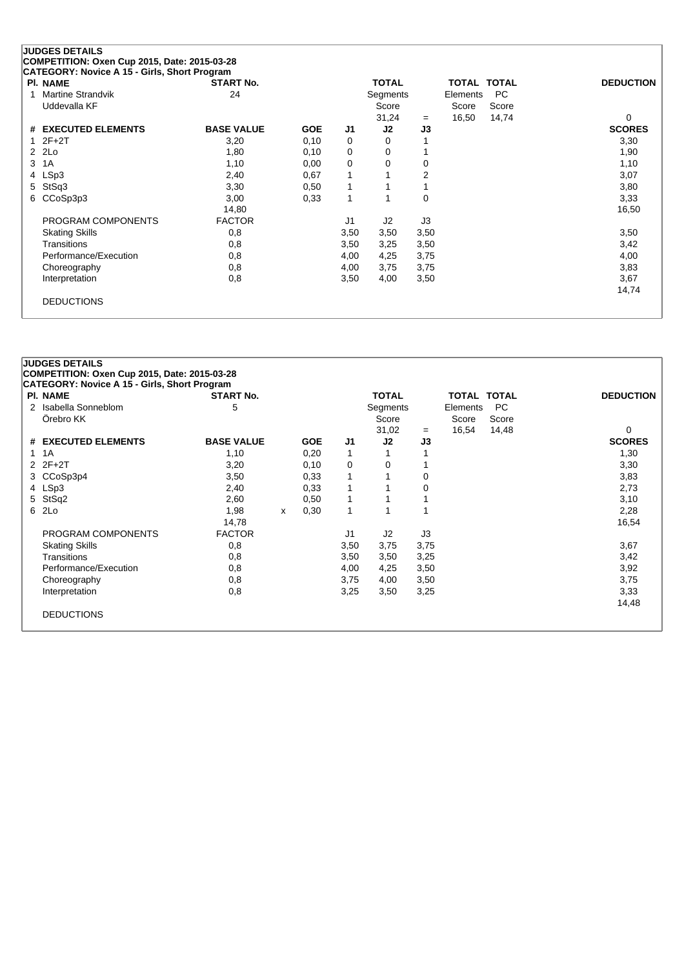| <b>PI. NAME</b>       | <b>START No.</b>  |            |      | <b>TOTAL</b>   |                | TOTAL TOTAL |       | <b>DEDUCTION</b> |
|-----------------------|-------------------|------------|------|----------------|----------------|-------------|-------|------------------|
| Martine Strandvik     | 24                |            |      | Segments       |                | Elements    | PC.   |                  |
| Uddevalla KF          |                   |            |      | Score          |                | Score       | Score |                  |
|                       |                   |            |      | 31,24          | $=$            | 16,50       | 14,74 | $\Omega$         |
| # EXECUTED ELEMENTS   | <b>BASE VALUE</b> | <b>GOE</b> | J1   | J2             | J3             |             |       | <b>SCORES</b>    |
| $12F+2T$              | 3,20              | 0,10       | 0    | 0              |                |             |       | 3,30             |
| 2 2Lo                 | 1,80              | 0,10       | 0    | 0              |                |             |       | 1,90             |
| 3 1A                  | 1,10              | 0,00       | 0    | 0              | 0              |             |       | 1,10             |
| 4 LSp3                | 2,40              | 0,67       | 1    |                | $\overline{2}$ |             |       | 3,07             |
| 5 StSq3               | 3,30              | 0,50       | 1    |                |                |             |       | 3,80             |
| 6 CCoSp3p3            | 3,00              | 0,33       | 1    |                | $\Omega$       |             |       | 3,33             |
|                       | 14,80             |            |      |                |                |             |       | 16,50            |
| PROGRAM COMPONENTS    | <b>FACTOR</b>     |            | J1   | J <sub>2</sub> | J3             |             |       |                  |
| <b>Skating Skills</b> | 0,8               |            | 3,50 | 3,50           | 3,50           |             |       | 3,50             |
| Transitions           | 0,8               |            | 3,50 | 3,25           | 3,50           |             |       | 3,42             |
| Performance/Execution | 0,8               |            | 4,00 | 4,25           | 3,75           |             |       | 4,00             |
| Choreography          | 0,8               |            | 4,00 | 3,75           | 3,75           |             |       | 3,83             |
| Interpretation        | 0,8               |            | 3,50 | 4,00           | 3,50           |             |       | 3,67             |
|                       |                   |            |      |                |                |             |       | 14,74            |
| <b>DEDUCTIONS</b>     |                   |            |      |                |                |             |       |                  |

| <b>PI. NAME</b>       | <b>START No.</b>  |   |            |                | <b>TOTAL</b>   |      | TOTAL TOTAL |           | <b>DEDUCTION</b> |
|-----------------------|-------------------|---|------------|----------------|----------------|------|-------------|-----------|------------------|
| 2 Isabella Sonneblom  | 5                 |   |            |                | Segments       |      | Elements    | <b>PC</b> |                  |
| Örebro KK             |                   |   |            |                | Score          |      | Score       | Score     |                  |
|                       |                   |   |            |                | 31,02          | $=$  | 16,54       | 14,48     | 0                |
| # EXECUTED ELEMENTS   | <b>BASE VALUE</b> |   | <b>GOE</b> | J <sub>1</sub> | J2             | J3   |             |           | <b>SCORES</b>    |
| 1 1 A                 | 1,10              |   | 0,20       | 1              |                |      |             |           | 1,30             |
| $2Z + 2T$             | 3,20              |   | 0,10       | 0              | 0              |      |             |           | 3,30             |
| 3 CCoSp3p4            | 3,50              |   | 0,33       | 1              | 1              | 0    |             |           | 3,83             |
| 4 LSp3                | 2,40              |   | 0,33       | 1              |                | 0    |             |           | 2,73             |
| 5 StSq2               | 2,60              |   | 0,50       | $\mathbf{1}$   |                |      |             |           | 3,10             |
| 6 2Lo                 | 1,98              | x | 0,30       | 1              | 1              |      |             |           | 2,28             |
|                       | 14,78             |   |            |                |                |      |             |           | 16,54            |
| PROGRAM COMPONENTS    | <b>FACTOR</b>     |   |            | J1             | J <sub>2</sub> | J3   |             |           |                  |
| <b>Skating Skills</b> | 0,8               |   |            | 3,50           | 3,75           | 3,75 |             |           | 3,67             |
| Transitions           | 0,8               |   |            | 3,50           | 3,50           | 3,25 |             |           | 3,42             |
| Performance/Execution | 0,8               |   |            | 4,00           | 4,25           | 3,50 |             |           | 3,92             |
| Choreography          | 0,8               |   |            | 3,75           | 4,00           | 3,50 |             |           | 3,75             |
| Interpretation        | 0,8               |   |            | 3,25           | 3,50           | 3,25 |             |           | 3,33             |
|                       |                   |   |            |                |                |      |             |           | 14,48            |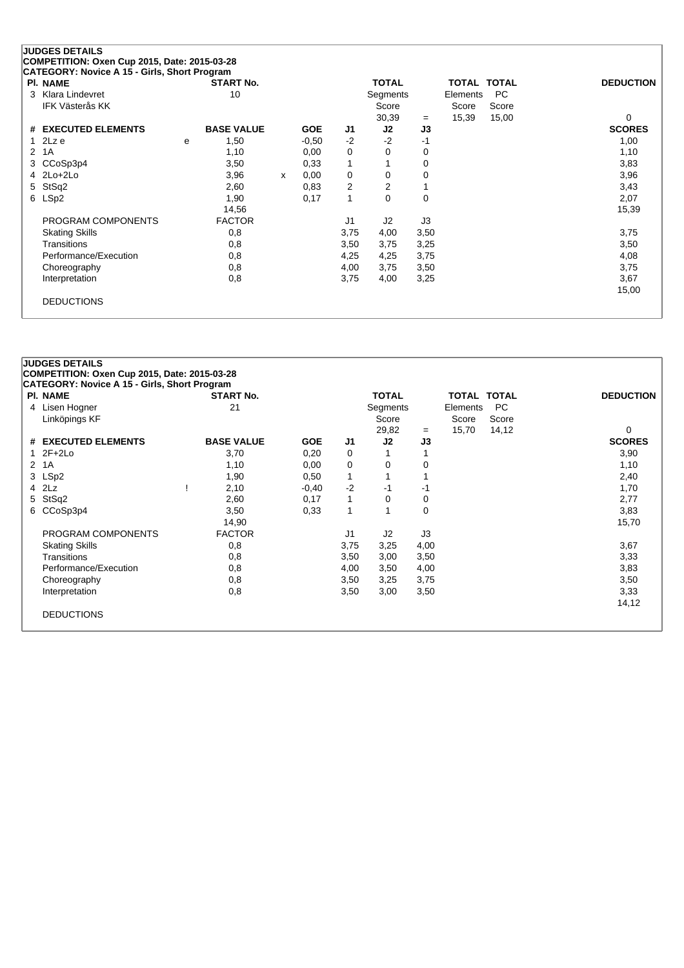|   | <b>PI. NAME</b>        |   | <b>START No.</b>  |   |            |                | <b>TOTAL</b>   |             | <b>TOTAL TOTAL</b> |           | <b>DEDUCTION</b> |
|---|------------------------|---|-------------------|---|------------|----------------|----------------|-------------|--------------------|-----------|------------------|
| 3 | Klara Lindevret        |   | 10                |   |            |                | Segments       |             | Elements           | <b>PC</b> |                  |
|   | <b>IFK Västerås KK</b> |   |                   |   |            |                | Score          |             | Score              | Score     |                  |
|   |                        |   |                   |   |            |                | 30,39          | $=$         | 15,39              | 15,00     | 0                |
|   | # EXECUTED ELEMENTS    |   | <b>BASE VALUE</b> |   | <b>GOE</b> | J1             | J2             | J3          |                    |           | <b>SCORES</b>    |
| 1 | 2Lz e                  | e | 1,50              |   | $-0.50$    | $-2$           | $-2$           | $-1$        |                    |           | 1,00             |
| 2 | 1A                     |   | 1,10              |   | 0,00       | 0              | $\Omega$       | 0           |                    |           | 1,10             |
| 3 | CCoSp3p4               |   | 3,50              |   | 0.33       |                |                | 0           |                    |           | 3,83             |
|   | 4 2Lo+2Lo              |   | 3,96              | x | 0,00       | 0              | 0              | 0           |                    |           | 3,96             |
| 5 | StSq2                  |   | 2,60              |   | 0.83       | $\overline{2}$ | $\overline{2}$ |             |                    |           | 3,43             |
|   | 6 LSp2                 |   | 1,90              |   | 0,17       |                | $\Omega$       | $\mathbf 0$ |                    |           | 2,07             |
|   |                        |   | 14,56             |   |            |                |                |             |                    |           | 15,39            |
|   | PROGRAM COMPONENTS     |   | <b>FACTOR</b>     |   |            | J1             | J2             | J3          |                    |           |                  |
|   | <b>Skating Skills</b>  |   | 0,8               |   |            | 3,75           | 4,00           | 3,50        |                    |           | 3,75             |
|   | Transitions            |   | 0,8               |   |            | 3,50           | 3,75           | 3,25        |                    |           | 3,50             |
|   | Performance/Execution  |   | 0,8               |   |            | 4,25           | 4,25           | 3,75        |                    |           | 4,08             |
|   | Choreography           |   | 0,8               |   |            | 4,00           | 3,75           | 3,50        |                    |           | 3,75             |
|   | Interpretation         |   | 0,8               |   |            | 3,75           | 4,00           | 3,25        |                    |           | 3,67             |
|   |                        |   |                   |   |            |                |                |             |                    |           | 15,00            |

DEDUCTIONS

|    | <b>CATEGORY: Novice A 15 - Girls, Short Program</b><br><b>PI. NAME</b> | <b>START No.</b>  |            |              | <b>TOTAL</b>   |          | TOTAL    | <b>TOTAL</b> | <b>DEDUCTION</b> |
|----|------------------------------------------------------------------------|-------------------|------------|--------------|----------------|----------|----------|--------------|------------------|
|    | 4 Lisen Hogner                                                         | 21                |            |              | Segments       |          | Elements | <b>PC</b>    |                  |
|    | Linköpings KF                                                          |                   |            |              | Score          |          | Score    | Score        |                  |
|    |                                                                        |                   |            |              | 29,82          | $=$      | 15,70    | 14,12        | 0                |
|    | # EXECUTED ELEMENTS                                                    | <b>BASE VALUE</b> | <b>GOE</b> | J1           | J2             | J3       |          |              | <b>SCORES</b>    |
|    | $12F+2Lo$                                                              | 3,70              | 0,20       | 0            |                | 1        |          |              | 3,90             |
|    | 2 1A                                                                   | 1,10              | 0,00       | 0            | 0              | 0        |          |              | 1,10             |
|    | 3 LSp2                                                                 | 1,90              | 0,50       | $\mathbf{1}$ |                |          |          |              | 2,40             |
| 4  | 2Lz                                                                    | 2,10              | $-0,40$    | $-2$         | -1             | -1       |          |              | 1,70             |
| 5. | StSq2                                                                  | 2,60              | 0,17       | 1            | $\Omega$       | $\Omega$ |          |              | 2,77             |
| 6  | CCoSp3p4                                                               | 3,50              | 0,33       | 1            |                | $\Omega$ |          |              | 3,83             |
|    |                                                                        | 14,90             |            |              |                |          |          |              | 15,70            |
|    | PROGRAM COMPONENTS                                                     | <b>FACTOR</b>     |            | J1           | J <sub>2</sub> | J3       |          |              |                  |
|    | <b>Skating Skills</b>                                                  | 0,8               |            | 3,75         | 3,25           | 4,00     |          |              | 3,67             |
|    | Transitions                                                            | 0,8               |            | 3,50         | 3,00           | 3,50     |          |              | 3,33             |
|    | Performance/Execution                                                  | 0,8               |            | 4,00         | 3,50           | 4,00     |          |              | 3,83             |
|    | Choreography                                                           | 0,8               |            | 3,50         | 3,25           | 3,75     |          |              | 3,50             |
|    | Interpretation                                                         | 0,8               |            | 3,50         | 3,00           | 3,50     |          |              | 3,33             |
|    |                                                                        |                   |            |              |                |          |          |              | 14,12            |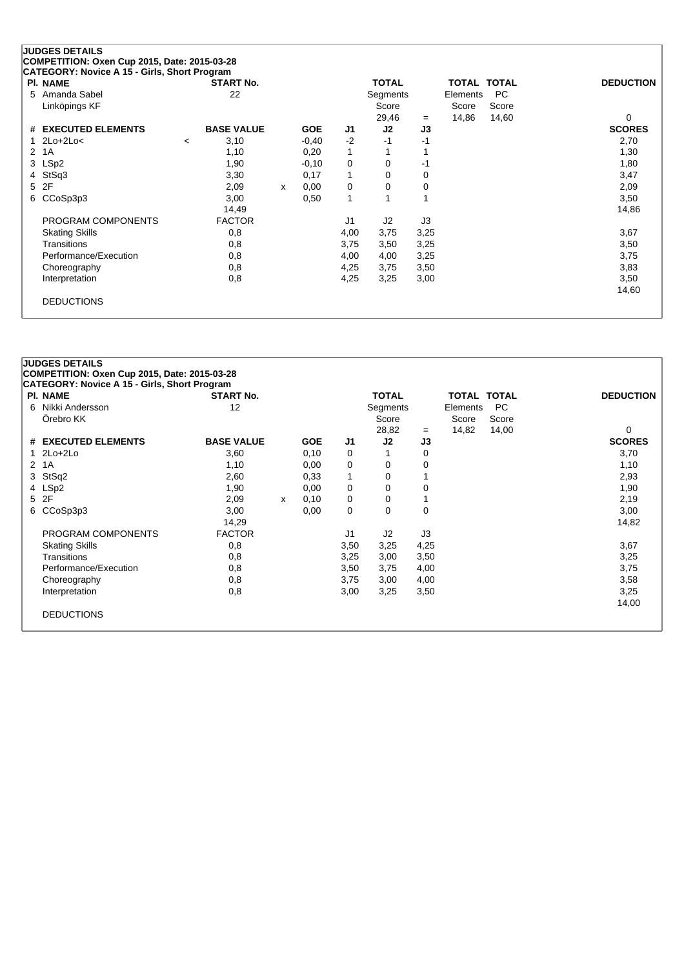| <b>PI. NAME</b>       |                          | <b>START No.</b>  |   |            |      | <b>TOTAL</b>   |      | TOTAL    | <b>TOTAL</b> | <b>DEDUCTION</b> |
|-----------------------|--------------------------|-------------------|---|------------|------|----------------|------|----------|--------------|------------------|
| 5 Amanda Sabel        |                          | 22                |   |            |      | Segments       |      | Elements | <b>PC</b>    |                  |
| Linköpings KF         |                          |                   |   |            |      | Score          |      | Score    | Score        |                  |
|                       |                          |                   |   |            |      | 29,46          | $=$  | 14,86    | 14,60        | 0                |
| # EXECUTED ELEMENTS   |                          | <b>BASE VALUE</b> |   | <b>GOE</b> | J1   | J <sub>2</sub> | J3   |          |              | <b>SCORES</b>    |
| $1$ $2Lo+2Lo<$        | $\overline{\phantom{a}}$ | 3,10              |   | $-0,40$    | $-2$ | -1             | -1   |          |              | 2,70             |
| 2 1A                  |                          | 1,10              |   | 0,20       | 1    |                |      |          |              | 1,30             |
| 3 LSp2                |                          | 1,90              |   | $-0,10$    | 0    | 0              | -1   |          |              | 1,80             |
| 4 StSq3               |                          | 3,30              |   | 0,17       | 1    | 0              | 0    |          |              | 3,47             |
| 5 2F                  |                          | 2,09              | x | 0,00       | 0    | 0              | 0    |          |              | 2,09             |
| 6 CCoSp3p3            |                          | 3,00              |   | 0,50       | 1    |                |      |          |              | 3,50             |
|                       |                          | 14,49             |   |            |      |                |      |          |              | 14,86            |
| PROGRAM COMPONENTS    |                          | <b>FACTOR</b>     |   |            | J1   | J <sub>2</sub> | J3   |          |              |                  |
| <b>Skating Skills</b> |                          | 0,8               |   |            | 4,00 | 3,75           | 3,25 |          |              | 3,67             |
| Transitions           |                          | 0,8               |   |            | 3,75 | 3,50           | 3,25 |          |              | 3,50             |
| Performance/Execution |                          | 0,8               |   |            | 4,00 | 4,00           | 3,25 |          |              | 3,75             |
| Choreography          |                          | 0,8               |   |            | 4,25 | 3,75           | 3,50 |          |              | 3,83             |
| Interpretation        |                          | 0,8               |   |            | 4,25 | 3,25           | 3,00 |          |              | 3,50             |
|                       |                          |                   |   |            |      |                |      |          |              | 14,60            |
| <b>DEDUCTIONS</b>     |                          |                   |   |            |      |                |      |          |              |                  |

| <b>PI. NAME</b>       | <b>START No.</b>  |   |            |                | <b>TOTAL</b> |          | TOTAL TOTAL |           | <b>DEDUCTION</b> |
|-----------------------|-------------------|---|------------|----------------|--------------|----------|-------------|-----------|------------------|
| 6 Nikki Andersson     | 12                |   |            |                | Segments     |          | Elements    | <b>PC</b> |                  |
| Örebro KK             |                   |   |            |                | Score        |          | Score       | Score     |                  |
|                       |                   |   |            |                | 28,82        | $=$      | 14,82       | 14,00     | 0                |
| # EXECUTED ELEMENTS   | <b>BASE VALUE</b> |   | <b>GOE</b> | J1             | J2           | J3       |             |           | <b>SCORES</b>    |
| $1$ $2Lo+2Lo$         | 3,60              |   | 0,10       | 0              |              | 0        |             |           | 3,70             |
| 2 1A                  | 1,10              |   | 0,00       | 0              | 0            | 0        |             |           | 1,10             |
| 3 StSq2               | 2,60              |   | 0,33       | 1              | 0            |          |             |           | 2,93             |
| 4 LSp2                | 1,90              |   | 0,00       | 0              | 0            | 0        |             |           | 1,90             |
| 5 2F                  | 2,09              | X | 0,10       | 0              | 0            |          |             |           | 2,19             |
| 6 CCoSp3p3            | 3,00              |   | 0,00       | $\mathbf 0$    | 0            | $\Omega$ |             |           | 3,00             |
|                       | 14,29             |   |            |                |              |          |             |           | 14,82            |
| PROGRAM COMPONENTS    | <b>FACTOR</b>     |   |            | J <sub>1</sub> | J2           | J3       |             |           |                  |
| <b>Skating Skills</b> | 0,8               |   |            | 3,50           | 3,25         | 4,25     |             |           | 3,67             |
| <b>Transitions</b>    | 0,8               |   |            | 3,25           | 3,00         | 3,50     |             |           | 3,25             |
| Performance/Execution | 0,8               |   |            | 3,50           | 3,75         | 4,00     |             |           | 3,75             |
| Choreography          | 0,8               |   |            | 3,75           | 3,00         | 4,00     |             |           | 3,58             |
| Interpretation        | 0,8               |   |            | 3,00           | 3,25         | 3,50     |             |           | 3,25             |
|                       |                   |   |            |                |              |          |             |           | 14,00            |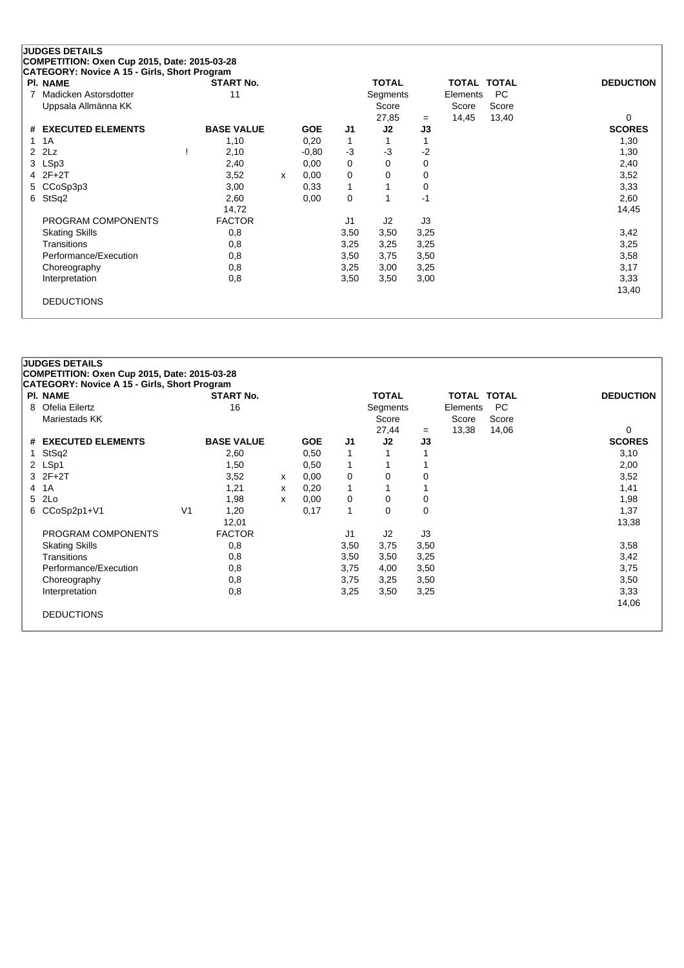|   | <b>JUDGES DETAILS</b>                        |                   |   |            |                |              |      |                    |           |                  |
|---|----------------------------------------------|-------------------|---|------------|----------------|--------------|------|--------------------|-----------|------------------|
|   | COMPETITION: Oxen Cup 2015, Date: 2015-03-28 |                   |   |            |                |              |      |                    |           |                  |
|   | CATEGORY: Novice A 15 - Girls, Short Program |                   |   |            |                |              |      |                    |           |                  |
|   | <b>PI. NAME</b>                              | <b>START No.</b>  |   |            |                | <b>TOTAL</b> |      | <b>TOTAL TOTAL</b> |           | <b>DEDUCTION</b> |
| 7 | Madicken Astorsdotter                        | 11                |   |            |                | Segments     |      | Elements           | <b>PC</b> |                  |
|   | Uppsala Allmänna KK                          |                   |   |            |                | Score        |      | Score              | Score     |                  |
|   |                                              |                   |   |            |                | 27,85        | $=$  | 14,45              | 13,40     | 0                |
|   | # EXECUTED ELEMENTS                          | <b>BASE VALUE</b> |   | <b>GOE</b> | J <sub>1</sub> | J2           | J3   |                    |           | <b>SCORES</b>    |
|   | 1A                                           | 1,10              |   | 0,20       | 1              |              |      |                    |           | 1,30             |
|   | 2Lz<br>2                                     | 2,10              |   | $-0,80$    | $-3$           | $-3$         | -2   |                    |           | 1,30             |
|   | LSp3<br>3                                    | 2,40              |   | 0,00       | 0              | 0            | 0    |                    |           | 2,40             |
|   | $2F+2T$<br>4                                 | 3,52              | x | 0,00       | 0              | 0            | 0    |                    |           | 3,52             |
|   | CCoSp3p3<br>5                                | 3,00              |   | 0.33       | 1              |              | 0    |                    |           | 3,33             |
| 6 | StSq2                                        | 2,60              |   | 0,00       | 0              |              | $-1$ |                    |           | 2,60             |
|   |                                              | 14,72             |   |            |                |              |      |                    |           | 14,45            |
|   | PROGRAM COMPONENTS                           | <b>FACTOR</b>     |   |            | J1             | J2           | J3   |                    |           |                  |
|   | <b>Skating Skills</b>                        | 0,8               |   |            | 3,50           | 3,50         | 3,25 |                    |           | 3,42             |
|   | Transitions                                  | 0,8               |   |            | 3,25           | 3,25         | 3,25 |                    |           | 3,25             |
|   | Performance/Execution                        | 0,8               |   |            | 3,50           | 3,75         | 3,50 |                    |           | 3,58             |
|   | Choreography                                 | 0,8               |   |            | 3,25           | 3,00         | 3,25 |                    |           | 3,17             |
|   | Interpretation                               | 0,8               |   |            | 3,50           | 3,50         | 3,00 |                    |           | 3,33             |
|   |                                              |                   |   |            |                |              |      |                    |           | 13,40            |
|   | <b>DEDUCTIONS</b>                            |                   |   |            |                |              |      |                    |           |                  |
|   |                                              |                   |   |            |                |              |      |                    |           |                  |

| <b>PI. NAME</b>       |                | <b>START No.</b>  |   |            |                | <b>TOTAL</b> |          | <b>TOTAL TOTAL</b> |       | <b>DEDUCTION</b> |
|-----------------------|----------------|-------------------|---|------------|----------------|--------------|----------|--------------------|-------|------------------|
| Ofelia Eilertz<br>8   |                | 16                |   |            |                | Segments     |          | Elements           | PC    |                  |
| Mariestads KK         |                |                   |   |            |                | Score        |          | Score              | Score |                  |
|                       |                |                   |   |            |                | 27,44        | $=$      | 13,38              | 14,06 | 0                |
| # EXECUTED ELEMENTS   |                | <b>BASE VALUE</b> |   | <b>GOE</b> | J1             | J2           | J3       |                    |       | <b>SCORES</b>    |
| StSq2<br>1.           |                | 2,60              |   | 0,50       | 1              |              |          |                    |       | 3,10             |
| 2 LSp1                |                | 1,50              |   | 0,50       | 1              |              |          |                    |       | 2,00             |
| $3$ $2F+2T$           |                | 3,52              | X | 0,00       | 0              | 0            | 0        |                    |       | 3,52             |
| 4 1 A                 |                | 1,21              | х | 0,20       | 1              |              |          |                    |       | 1,41             |
| 5 2Lo                 |                | 1,98              | X | 0,00       | 0              | $\Omega$     | 0        |                    |       | 1,98             |
| CCoSp2p1+V1<br>6      | V <sub>1</sub> | 1,20              |   | 0,17       | 1              | $\Omega$     | $\Omega$ |                    |       | 1,37             |
|                       |                | 12,01             |   |            |                |              |          |                    |       | 13,38            |
| PROGRAM COMPONENTS    |                | <b>FACTOR</b>     |   |            | J <sub>1</sub> | J2           | J3       |                    |       |                  |
| <b>Skating Skills</b> |                | 0,8               |   |            | 3,50           | 3,75         | 3,50     |                    |       | 3,58             |
| Transitions           |                | 0,8               |   |            | 3,50           | 3,50         | 3,25     |                    |       | 3,42             |
| Performance/Execution |                | 0,8               |   |            | 3,75           | 4,00         | 3,50     |                    |       | 3,75             |
| Choreography          |                | 0,8               |   |            | 3,75           | 3,25         | 3,50     |                    |       | 3,50             |
| Interpretation        |                | 0,8               |   |            | 3,25           | 3,50         | 3,25     |                    |       | 3,33             |
|                       |                |                   |   |            |                |              |          |                    |       | 14,06            |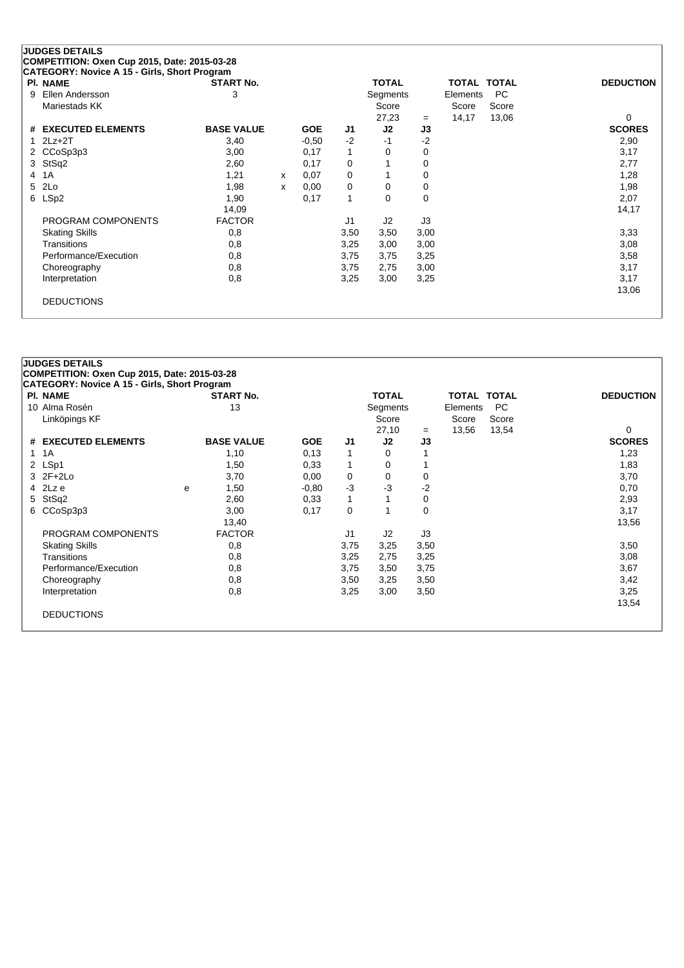|   | .<br><b>PI. NAME</b>  | <b>START No.</b>  |   |            |              | <b>TOTAL</b>   |      | TOTAL    | <b>TOTAL</b> | <b>DEDUCTION</b> |
|---|-----------------------|-------------------|---|------------|--------------|----------------|------|----------|--------------|------------------|
| 9 | Ellen Andersson       | 3                 |   |            |              | Segments       |      | Elements | PC.          |                  |
|   | Mariestads KK         |                   |   |            |              | Score          |      | Score    | Score        |                  |
|   |                       |                   |   |            |              | 27,23          | $=$  | 14,17    | 13,06        | 0                |
|   | # EXECUTED ELEMENTS   | <b>BASE VALUE</b> |   | <b>GOE</b> | J1           | J <sub>2</sub> | J3   |          |              | <b>SCORES</b>    |
|   | $1$ $2Lz+2T$          | 3,40              |   | $-0.50$    | $-2$         | -1             | -2   |          |              | 2,90             |
|   | 2 CCoSp3p3            | 3,00              |   | 0,17       | $\mathbf{1}$ | 0              | 0    |          |              | 3,17             |
|   | 3 StSq2               | 2,60              |   | 0,17       | 0            |                | 0    |          |              | 2,77             |
|   | 4 1 A                 | 1,21              | х | 0,07       | 0            |                | 0    |          |              | 1,28             |
|   | 5 2Lo                 | 1,98              | х | 0,00       | 0            | 0              | 0    |          |              | 1,98             |
|   | 6 LSp2                | 1,90              |   | 0,17       | 1            | 0              | 0    |          |              | 2,07             |
|   |                       | 14,09             |   |            |              |                |      |          |              | 14,17            |
|   | PROGRAM COMPONENTS    | <b>FACTOR</b>     |   |            | J1           | J2             | J3   |          |              |                  |
|   | <b>Skating Skills</b> | 0,8               |   |            | 3,50         | 3,50           | 3,00 |          |              | 3,33             |
|   | Transitions           | 0,8               |   |            | 3,25         | 3,00           | 3,00 |          |              | 3,08             |
|   | Performance/Execution | 0,8               |   |            | 3,75         | 3,75           | 3,25 |          |              | 3,58             |
|   | Choreography          | 0,8               |   |            | 3,75         | 2,75           | 3,00 |          |              | 3,17             |
|   | Interpretation        | 0,8               |   |            | 3,25         | 3,00           | 3,25 |          |              | 3,17             |
|   |                       |                   |   |            |              |                |      |          |              | 13,06            |
|   | <b>DEDUCTIONS</b>     |                   |   |            |              |                |      |          |              |                  |

| <b>PI. NAME</b>       |   | <b>START No.</b>  |            |                | <b>TOTAL</b>   |      | <b>TOTAL TOTAL</b> |       | <b>DEDUCTION</b> |
|-----------------------|---|-------------------|------------|----------------|----------------|------|--------------------|-------|------------------|
| 10 Alma Rosén         |   | 13                |            |                | Segments       |      | Elements           | PC.   |                  |
| Linköpings KF         |   |                   |            |                | Score          |      | Score              | Score |                  |
|                       |   |                   |            |                | 27,10          | $=$  | 13,56              | 13,54 | 0                |
| # EXECUTED ELEMENTS   |   | <b>BASE VALUE</b> | <b>GOE</b> | J <sub>1</sub> | J2             | J3   |                    |       | <b>SCORES</b>    |
| 1 1 A                 |   | 1,10              | 0,13       | 1              | 0              |      |                    |       | 1,23             |
| 2 LSp1                |   | 1,50              | 0.33       | 1              | 0              |      |                    |       | 1,83             |
| $3$ $2F+2Lo$          |   | 3,70              | 0,00       | 0              | 0              | 0    |                    |       | 3,70             |
| 4 2Lz e               | e | 1,50              | $-0.80$    | $-3$           | $-3$           | -2   |                    |       | 0,70             |
| 5 StSq2               |   | 2,60              | 0.33       | $\mathbf{1}$   |                | 0    |                    |       | 2,93             |
| 6 CCoSp3p3            |   | 3,00              | 0,17       | 0              |                | 0    |                    |       | 3,17             |
|                       |   | 13,40             |            |                |                |      |                    |       | 13,56            |
| PROGRAM COMPONENTS    |   | <b>FACTOR</b>     |            | J1             | J <sub>2</sub> | J3   |                    |       |                  |
| <b>Skating Skills</b> |   | 0,8               |            | 3,75           | 3,25           | 3,50 |                    |       | 3,50             |
| Transitions           |   | 0,8               |            | 3,25           | 2,75           | 3,25 |                    |       | 3,08             |
| Performance/Execution |   | 0,8               |            | 3,75           | 3,50           | 3,75 |                    |       | 3,67             |
| Choreography          |   | 0,8               |            | 3,50           | 3,25           | 3,50 |                    |       | 3,42             |
| Interpretation        |   | 0,8               |            | 3,25           | 3,00           | 3,50 |                    |       | 3,25             |
|                       |   |                   |            |                |                |      |                    |       | 13,54            |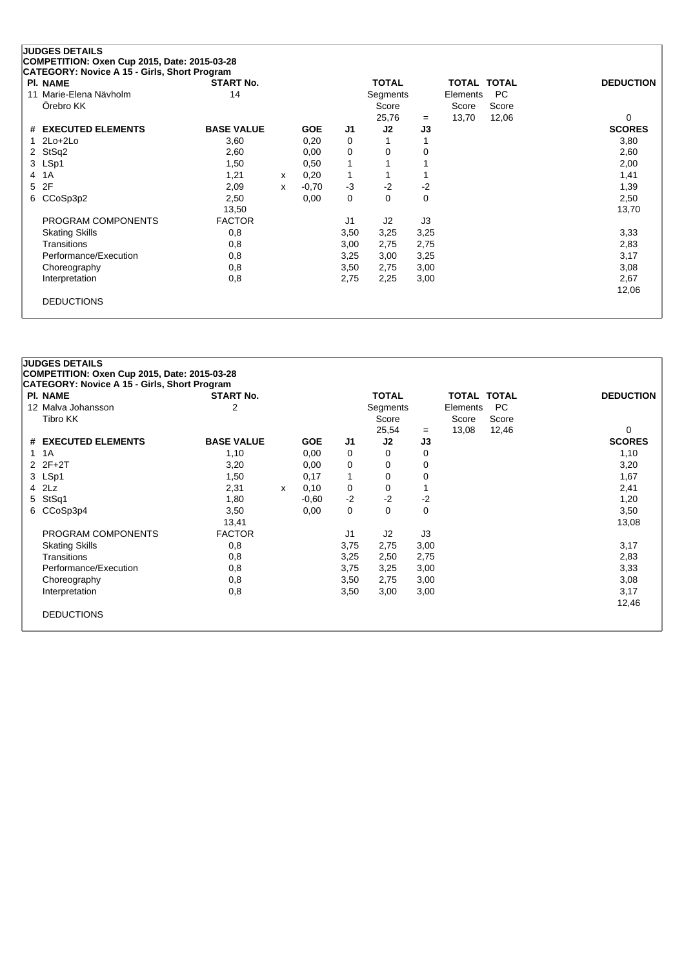| <b>PI. NAME</b>        | <b>START No.</b>  |              |            |      | <b>TOTAL</b> |          | TOTAL TOTAL |           | <b>DEDUCTION</b> |
|------------------------|-------------------|--------------|------------|------|--------------|----------|-------------|-----------|------------------|
| 11 Marie-Elena Näyholm | 14                |              |            |      | Segments     |          | Elements    | <b>PC</b> |                  |
| Örebro KK              |                   |              |            |      | Score        |          | Score       | Score     |                  |
|                        |                   |              |            |      | 25,76        | $=$      | 13,70       | 12,06     | 0                |
| # EXECUTED ELEMENTS    | <b>BASE VALUE</b> |              | <b>GOE</b> | J1   | J2           | J3       |             |           | <b>SCORES</b>    |
| $2Lo+2Lo$              | 3,60              |              | 0,20       | 0    |              |          |             |           | 3,80             |
| 2 StSq2                | 2,60              |              | 0,00       | 0    | 0            | 0        |             |           | 2,60             |
| 3 LSp1                 | 1,50              |              | 0,50       | 1    |              |          |             |           | 2,00             |
| 1A<br>4                | 1,21              | $\mathsf{x}$ | 0,20       | 1    |              |          |             |           | 1,41             |
| 2F<br>5                | 2,09              | X            | $-0,70$    | $-3$ | $-2$         | $-2$     |             |           | 1,39             |
| CCoSp3p2<br>6          | 2,50              |              | 0,00       | 0    | 0            | $\Omega$ |             |           | 2,50             |
|                        | 13,50             |              |            |      |              |          |             |           | 13,70            |
| PROGRAM COMPONENTS     | <b>FACTOR</b>     |              |            | J1   | J2           | J3       |             |           |                  |
| <b>Skating Skills</b>  | 0,8               |              |            | 3,50 | 3,25         | 3,25     |             |           | 3,33             |
| Transitions            | 0,8               |              |            | 3,00 | 2,75         | 2,75     |             |           | 2,83             |
| Performance/Execution  | 0,8               |              |            | 3,25 | 3,00         | 3,25     |             |           | 3,17             |
| Choreography           | 0,8               |              |            | 3,50 | 2,75         | 3,00     |             |           | 3,08             |
| Interpretation         | 0,8               |              |            | 2,75 | 2,25         | 3,00     |             |           | 2,67             |
|                        |                   |              |            |      |              |          |             |           | 12,06            |

| <b>PI. NAME</b>       | <b>START No.</b>  |   |            |                | <b>TOTAL</b>   |      | <b>TOTAL TOTAL</b> |           | <b>DEDUCTION</b> |
|-----------------------|-------------------|---|------------|----------------|----------------|------|--------------------|-----------|------------------|
| 12 Malva Johansson    | 2                 |   |            |                | Segments       |      | Elements           | <b>PC</b> |                  |
| Tibro KK              |                   |   |            |                | Score          |      | Score              | Score     |                  |
|                       |                   |   |            |                | 25,54          | $=$  | 13,08              | 12,46     | 0                |
| # EXECUTED ELEMENTS   | <b>BASE VALUE</b> |   | <b>GOE</b> | J <sub>1</sub> | J2             | J3   |                    |           | <b>SCORES</b>    |
| 1 1 A                 | 1,10              |   | 0,00       | 0              | 0              | 0    |                    |           | 1,10             |
| $2Z + 2T$             | 3,20              |   | 0,00       | 0              | 0              | 0    |                    |           | 3,20             |
| 3 LSp1                | 1,50              |   | 0,17       | 1              | 0              | 0    |                    |           | 1,67             |
| 4 2Lz                 | 2,31              | X | 0,10       | 0              | 0              |      |                    |           | 2,41             |
| 5 StSq1               | 1,80              |   | $-0.60$    | $-2$           | $-2$           | $-2$ |                    |           | 1,20             |
| CCoSp3p4<br>6         | 3,50              |   | 0,00       | 0              | 0              | 0    |                    |           | 3,50             |
|                       | 13,41             |   |            |                |                |      |                    |           | 13,08            |
| PROGRAM COMPONENTS    | <b>FACTOR</b>     |   |            | J1             | J <sub>2</sub> | J3   |                    |           |                  |
| <b>Skating Skills</b> | 0,8               |   |            | 3,75           | 2,75           | 3,00 |                    |           | 3,17             |
| Transitions           | 0,8               |   |            | 3,25           | 2,50           | 2,75 |                    |           | 2,83             |
| Performance/Execution | 0,8               |   |            | 3,75           | 3,25           | 3,00 |                    |           | 3,33             |
| Choreography          | 0,8               |   |            | 3,50           | 2,75           | 3,00 |                    |           | 3,08             |
| Interpretation        | 0,8               |   |            | 3,50           | 3,00           | 3,00 |                    |           | 3,17             |
|                       |                   |   |            |                |                |      |                    |           | 12,46            |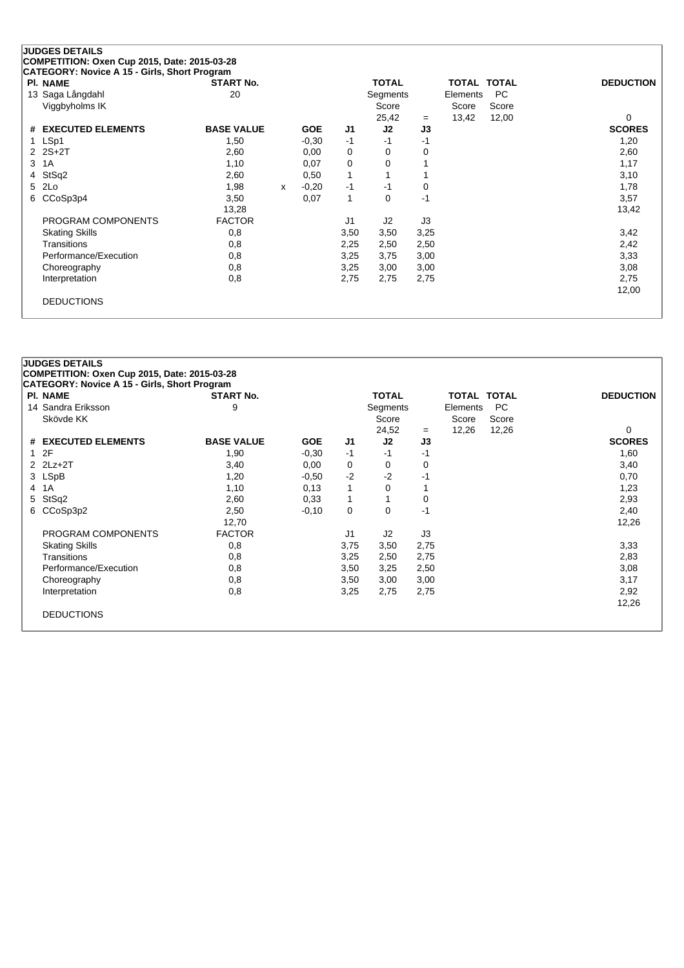|   | COMPETITION: Oxen Cup 2015, Date: 2015-03-28<br>CATEGORY: Novice A 15 - Girls, Short Program |                   |            |    |              |     |             |       |                  |
|---|----------------------------------------------------------------------------------------------|-------------------|------------|----|--------------|-----|-------------|-------|------------------|
|   | <b>PI. NAME</b>                                                                              | <b>START No.</b>  |            |    | <b>TOTAL</b> |     | TOTAL TOTAL |       | <b>DEDUCTION</b> |
|   | 13 Saga Långdahl                                                                             | 20                |            |    | Segments     |     | Elements    | PC.   |                  |
|   | Viggbyholms IK                                                                               |                   |            |    | Score        |     | Score       | Score |                  |
|   |                                                                                              |                   |            |    | 25.42        | $=$ | 13.42       | 12.00 | 0                |
|   | # EXECUTED ELEMENTS                                                                          | <b>BASE VALUE</b> | <b>GOE</b> | J1 | J2           | J3  |             |       | <b>SCORES</b>    |
|   | LSp1                                                                                         | 1,50              | $-0.30$    | -1 | -1           | -1  |             |       | 1,20             |
|   | $2 \t2S+2T$                                                                                  | 2,60              | 0.00       | 0  | 0            | 0   |             |       | 2,60             |
| 3 | 1A                                                                                           | 1.10              | 0.07       | 0  | 0            |     |             |       | 1,17             |
|   | 4 StSq2                                                                                      | 2,60              | 0.50       |    |              |     |             |       | 3,10             |

| 1 LSp1                | 1,50          |   | $-0.30$ | $-1$        | $-1$ | -1   | 1,20  |
|-----------------------|---------------|---|---------|-------------|------|------|-------|
| $2 \t2S+2T$           | 2,60          |   | 0,00    | 0           | 0    | 0    | 2,60  |
| 3 1 A                 | 1,10          |   | 0,07    | 0           | 0    |      | 1,17  |
| 4 StSq2               | 2,60          |   | 0,50    | $\mathbf 1$ |      |      | 3,10  |
| 5 2Lo                 | 1,98          | x | $-0,20$ | $-1$        | -1   | 0    | 1,78  |
| 6 CCoSp3p4            | 3,50          |   | 0,07    | 1           | 0    | -1   | 3,57  |
|                       | 13,28         |   |         |             |      |      | 13,42 |
| PROGRAM COMPONENTS    | <b>FACTOR</b> |   |         | J1          | J2   | J3   |       |
| <b>Skating Skills</b> | 0,8           |   |         | 3,50        | 3,50 | 3,25 | 3,42  |
| Transitions           | 0,8           |   |         | 2,25        | 2,50 | 2,50 | 2,42  |
| Performance/Execution | 0,8           |   |         | 3,25        | 3,75 | 3,00 | 3,33  |
| Choreography          | 0,8           |   |         | 3,25        | 3,00 | 3,00 | 3,08  |
| Interpretation        | 0,8           |   |         | 2,75        | 2,75 | 2,75 | 2,75  |
|                       |               |   |         |             |      |      | 12,00 |
| <b>DEDUCTIONS</b>     |               |   |         |             |      |      |       |
|                       |               |   |         |             |      |      |       |

| <b>PI. NAME</b>       | <b>START No.</b>  |            |                | <b>TOTAL</b> |      | <b>TOTAL TOTAL</b> |           | <b>DEDUCTION</b> |
|-----------------------|-------------------|------------|----------------|--------------|------|--------------------|-----------|------------------|
| 14 Sandra Eriksson    | 9                 |            |                | Segments     |      | Elements           | <b>PC</b> |                  |
| Skövde KK             |                   |            |                | Score        |      | Score              | Score     |                  |
|                       |                   |            |                | 24,52        | $=$  | 12,26              | 12,26     | 0                |
| # EXECUTED ELEMENTS   | <b>BASE VALUE</b> | <b>GOE</b> | J1             | J2           | J3   |                    |           | <b>SCORES</b>    |
| 2F<br>$\mathbf{1}$    | 1,90              | $-0,30$    | -1             | -1           | -1   |                    |           | 1,60             |
| $2$ $2Lz+2T$          | 3,40              | 0,00       | 0              | 0            | 0    |                    |           | 3,40             |
| 3 LSpB                | 1,20              | $-0.50$    | $-2$           | $-2$         | -1   |                    |           | 0,70             |
| 1A<br>$\overline{4}$  | 1,10              | 0,13       | 1              | 0            |      |                    |           | 1,23             |
| StSq2<br>5            | 2,60              | 0,33       | 1              |              | 0    |                    |           | 2,93             |
| CCoSp3p2<br>6         | 2,50              | $-0,10$    | 0              | $\Omega$     | -1   |                    |           | 2,40             |
|                       | 12,70             |            |                |              |      |                    |           | 12,26            |
| PROGRAM COMPONENTS    | <b>FACTOR</b>     |            | J <sub>1</sub> | J2           | J3   |                    |           |                  |
| <b>Skating Skills</b> | 0,8               |            | 3,75           | 3,50         | 2,75 |                    |           | 3,33             |
| Transitions           | 0,8               |            | 3,25           | 2,50         | 2,75 |                    |           | 2,83             |
| Performance/Execution | 0,8               |            | 3,50           | 3,25         | 2,50 |                    |           | 3,08             |
| Choreography          | 0,8               |            | 3,50           | 3,00         | 3,00 |                    |           | 3,17             |
| Interpretation        | 0,8               |            | 3,25           | 2,75         | 2,75 |                    |           | 2,92             |
|                       |                   |            |                |              |      |                    |           | 12,26            |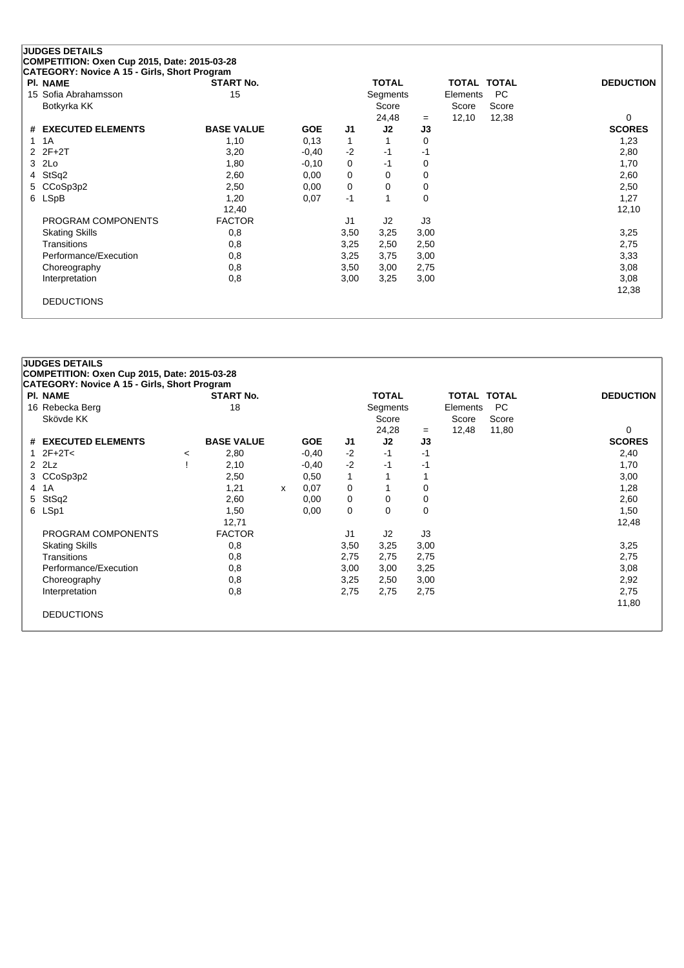| <b>PI. NAME</b>               | <b>START No.</b>  |            |          | <b>TOTAL</b>   |             | TOTAL TOTAL |           | <b>DEDUCTION</b> |
|-------------------------------|-------------------|------------|----------|----------------|-------------|-------------|-----------|------------------|
| 15 Sofia Abrahamsson          | 15                |            |          | Segments       |             | Elements    | <b>PC</b> |                  |
| Botkyrka KK                   |                   |            |          | Score          |             | Score       | Score     |                  |
|                               |                   |            |          | 24,48          | $=$         | 12,10       | 12,38     | $\Omega$         |
| <b>EXECUTED ELEMENTS</b><br># | <b>BASE VALUE</b> | <b>GOE</b> | J1       | J2             | J3          |             |           | <b>SCORES</b>    |
| 1 1 A                         | 1,10              | 0,13       |          |                | 0           |             |           | 1,23             |
| $2Z + 2T$                     | 3,20              | $-0,40$    | $-2$     | $-1$           | -1          |             |           | 2,80             |
| 2Lo<br>3                      | 1,80              | $-0,10$    | $\Omega$ | $-1$           | 0           |             |           | 1,70             |
| StSq2<br>4                    | 2,60              | 0,00       | 0        | $\mathbf 0$    | 0           |             |           | 2,60             |
| CCoSp3p2<br>5.                | 2,50              | 0,00       | 0        | 0              | 0           |             |           | 2,50             |
| 6 LSpB                        | 1,20              | 0,07       | $-1$     | 4              | $\mathbf 0$ |             |           | 1,27             |
|                               | 12,40             |            |          |                |             |             |           | 12,10            |
| PROGRAM COMPONENTS            | <b>FACTOR</b>     |            | J1       | J <sub>2</sub> | J3          |             |           |                  |
| <b>Skating Skills</b>         | 0,8               |            | 3,50     | 3,25           | 3,00        |             |           | 3,25             |
| Transitions                   | 0,8               |            | 3,25     | 2,50           | 2,50        |             |           | 2,75             |
| Performance/Execution         | 0,8               |            | 3,25     | 3,75           | 3,00        |             |           | 3,33             |
| Choreography                  | 0,8               |            | 3,50     | 3,00           | 2,75        |             |           | 3,08             |
| Interpretation                | 0,8               |            | 3,00     | 3,25           | 3,00        |             |           | 3,08             |
|                               |                   |            |          |                |             |             |           | 10.00            |

DEDUCTIONS

|               | <b>PI. NAME</b>       |         | <b>START No.</b>  |   |            |                | <b>TOTAL</b> |          | <b>TOTAL TOTAL</b> |           | <b>DEDUCTION</b> |
|---------------|-----------------------|---------|-------------------|---|------------|----------------|--------------|----------|--------------------|-----------|------------------|
|               | 16 Rebecka Berg       |         | 18                |   |            |                | Segments     |          | Elements           | <b>PC</b> |                  |
|               | Skövde KK             |         |                   |   |            |                | Score        |          | Score              | Score     |                  |
|               |                       |         |                   |   |            |                | 24,28        | $=$      | 12,48              | 11,80     | 0                |
|               | # EXECUTED ELEMENTS   |         | <b>BASE VALUE</b> |   | <b>GOE</b> | J1             | J2           | J3       |                    |           | <b>SCORES</b>    |
| 1             | $2F+2T<$              | $\prec$ | 2,80              |   | $-0,40$    | $-2$           | -1           | $-1$     |                    |           | 2,40             |
| $\mathcal{P}$ | 2Lz                   |         | 2,10              |   | $-0,40$    | $-2$           | -1           | -1       |                    |           | 1,70             |
|               | 3 CCoSp3p2            |         | 2,50              |   | 0,50       | 1              |              |          |                    |           | 3,00             |
|               | 4 1A                  |         | 1,21              | x | 0,07       | 0              |              | 0        |                    |           | 1,28             |
|               | 5 StSq2               |         | 2,60              |   | 0,00       | 0              | 0            | 0        |                    |           | 2,60             |
|               | 6 LSp1                |         | 1,50              |   | 0,00       | 0              | $\Omega$     | $\Omega$ |                    |           | 1,50             |
|               |                       |         | 12,71             |   |            |                |              |          |                    |           | 12,48            |
|               | PROGRAM COMPONENTS    |         | <b>FACTOR</b>     |   |            | J <sub>1</sub> | J2           | J3       |                    |           |                  |
|               | <b>Skating Skills</b> |         | 0,8               |   |            | 3,50           | 3,25         | 3,00     |                    |           | 3,25             |
|               | Transitions           |         | 0,8               |   |            | 2,75           | 2,75         | 2,75     |                    |           | 2,75             |
|               | Performance/Execution |         | 0,8               |   |            | 3,00           | 3,00         | 3,25     |                    |           | 3,08             |
|               | Choreography          |         | 0,8               |   |            | 3,25           | 2,50         | 3,00     |                    |           | 2,92             |
|               | Interpretation        |         | 0,8               |   |            | 2,75           | 2,75         | 2,75     |                    |           | 2,75             |
|               |                       |         |                   |   |            |                |              |          |                    |           | 11,80            |

12,38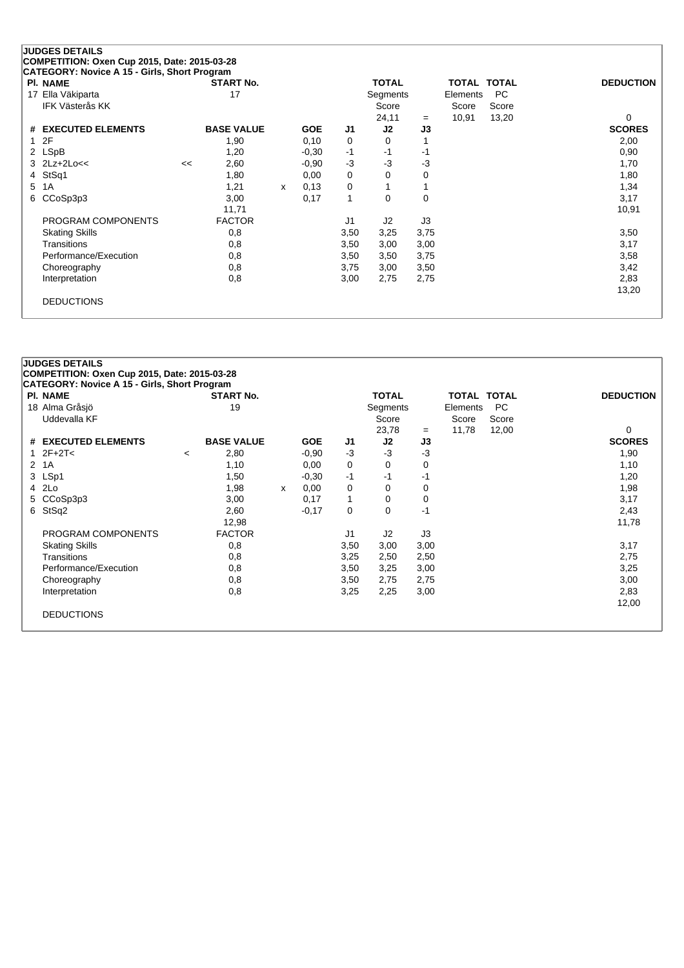| <b>PI. NAME</b>        |    | <b>START No.</b>  |   |            |      | <b>TOTAL</b>   |      | TOTAL TOTAL |       | <b>DEDUCTION</b> |
|------------------------|----|-------------------|---|------------|------|----------------|------|-------------|-------|------------------|
| 17 Ella Väkiparta      |    | 17                |   |            |      | Segments       |      | Elements    | PC.   |                  |
| <b>IFK Västerås KK</b> |    |                   |   |            |      | Score          |      | Score       | Score |                  |
|                        |    |                   |   |            |      | 24,11          | $=$  | 10,91       | 13,20 | 0                |
| # EXECUTED ELEMENTS    |    | <b>BASE VALUE</b> |   | <b>GOE</b> | J1   | J2             | J3   |             |       | <b>SCORES</b>    |
| 1 2F                   |    | 1,90              |   | 0,10       | 0    | 0              |      |             |       | 2,00             |
| 2 LSpB                 |    | 1,20              |   | $-0,30$    | $-1$ | -1             | -1   |             |       | 0,90             |
| $3$ $2Lz+2Lo<<$        | << | 2,60              |   | $-0.90$    | -3   | $-3$           | -3   |             |       | 1,70             |
| 4 StSq1                |    | 1,80              |   | 0,00       | 0    | 0              | 0    |             |       | 1,80             |
| 5 1A                   |    | 1,21              | x | 0.13       | 0    |                |      |             |       | 1,34             |
| 6 CCoSp3p3             |    | 3,00              |   | 0,17       | 1    | 0              | 0    |             |       | 3,17             |
|                        |    | 11,71             |   |            |      |                |      |             |       | 10,91            |
| PROGRAM COMPONENTS     |    | <b>FACTOR</b>     |   |            | J1   | J <sub>2</sub> | J3   |             |       |                  |
| <b>Skating Skills</b>  |    | 0,8               |   |            | 3,50 | 3,25           | 3,75 |             |       | 3,50             |
| Transitions            |    | 0,8               |   |            | 3,50 | 3,00           | 3,00 |             |       | 3,17             |
| Performance/Execution  |    | 0,8               |   |            | 3,50 | 3,50           | 3,75 |             |       | 3,58             |
| Choreography           |    | 0,8               |   |            | 3,75 | 3,00           | 3,50 |             |       | 3,42             |
| Interpretation         |    | 0,8               |   |            | 3,00 | 2,75           | 2,75 |             |       | 2,83             |
|                        |    |                   |   |            |      |                |      |             |       | 13,20            |
| <b>DEDUCTIONS</b>      |    |                   |   |            |      |                |      |             |       |                  |

| <b>PI. NAME</b>       |         | <b>START No.</b>  |      |            |                | <b>TOTAL</b>   |      | TOTAL TOTAL |       | <b>DEDUCTION</b> |
|-----------------------|---------|-------------------|------|------------|----------------|----------------|------|-------------|-------|------------------|
| 18 Alma Gråsjö        |         | 19                |      |            |                | Segments       |      | Elements    | PC.   |                  |
| Uddevalla KF          |         |                   |      |            |                | Score          |      | Score       | Score |                  |
|                       |         |                   |      |            |                | 23,78          | $=$  | 11,78       | 12,00 | 0                |
| # EXECUTED ELEMENTS   |         | <b>BASE VALUE</b> |      | <b>GOE</b> | J1             | J2             | J3   |             |       | <b>SCORES</b>    |
| 1 $2F+2T<$            | $\,<\,$ | 2,80              |      | $-0.90$    | $-3$           | $-3$           | $-3$ |             |       | 1,90             |
| 2 1A                  |         | 1,10              |      | 0,00       | 0              | 0              | 0    |             |       | 1,10             |
| 3 LSp1                |         | 1,50              |      | $-0,30$    | -1             | -1             | -1   |             |       | 1,20             |
| 4 2Lo                 |         | 1,98              | X    | 0,00       | 0              | 0              | 0    |             |       | 1,98             |
| 5 CCoSp3p3            |         | 3,00              |      | 0,17       | $\mathbf{1}$   | 0              | 0    |             |       | 3,17             |
| 6 StSq2               |         | 2,60              |      | $-0,17$    | 0              | 0              | -1   |             |       | 2,43             |
|                       |         | 12,98             |      |            |                |                |      |             |       | 11,78            |
| PROGRAM COMPONENTS    |         | <b>FACTOR</b>     |      |            | J <sub>1</sub> | J <sub>2</sub> | J3   |             |       |                  |
| <b>Skating Skills</b> |         | 0,8               |      |            | 3,50           | 3,00           | 3,00 |             |       | 3,17             |
| Transitions           |         | 0,8               |      |            | 3,25           | 2,50           | 2,50 |             |       | 2,75             |
| Performance/Execution |         | 0,8               |      |            | 3,50           | 3,25           | 3,00 |             |       | 3,25             |
| Choreography          | 0,8     | 3,50              | 2,75 | 2,75       |                |                | 3,00 |             |       |                  |
| Interpretation        |         | 0,8               |      |            | 3,25           | 2,25           | 3,00 |             |       | 2,83             |
|                       |         |                   |      |            |                |                |      |             |       | 12,00            |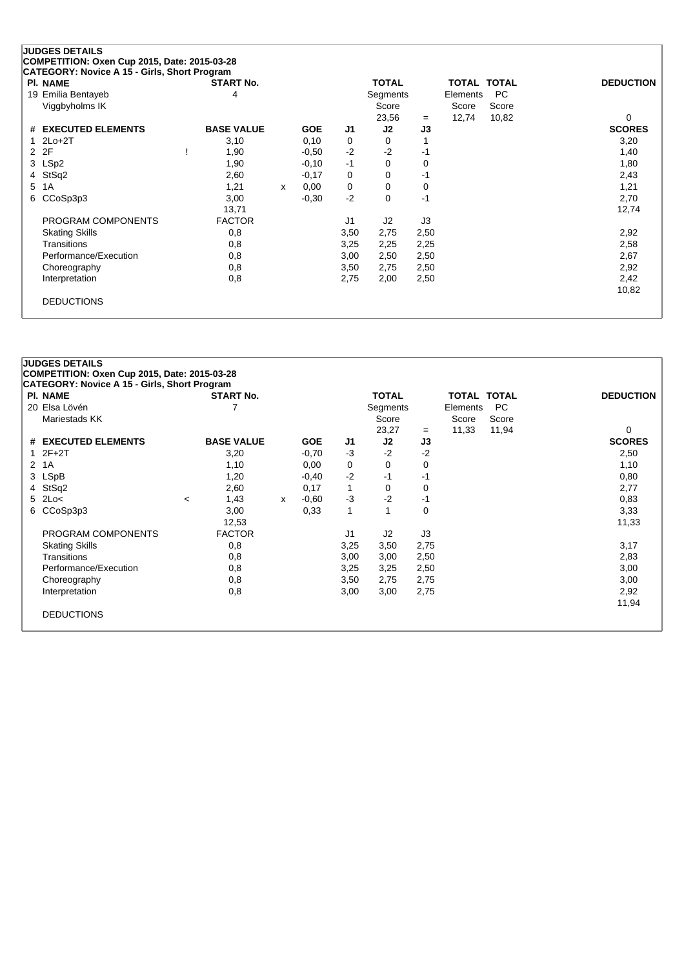| <b>PI. NAME</b>       | <b>START No.</b>  |   |            |      | <b>TOTAL</b>   |      | TOTAL TOTAL |       | <b>DEDUCTION</b> |
|-----------------------|-------------------|---|------------|------|----------------|------|-------------|-------|------------------|
| 19 Emilia Bentayeb    | 4                 |   |            |      | Segments       |      | Elements    | PC    |                  |
| Viggbyholms IK        |                   |   |            |      | Score          |      | Score       | Score |                  |
|                       |                   |   |            |      | 23,56          | $=$  | 12,74       | 10,82 | 0                |
| # EXECUTED ELEMENTS   | <b>BASE VALUE</b> |   | <b>GOE</b> | J1   | J <sub>2</sub> | J3   |             |       | <b>SCORES</b>    |
| $12Lo+2T$             | 3,10              |   | 0,10       | 0    | 0              |      |             |       | 3,20             |
| 2 2F                  | 1,90              |   | $-0.50$    | $-2$ | $-2$           | -1   |             |       | 1,40             |
| 3 LSp2                | 1,90              |   | $-0,10$    | $-1$ | 0              | 0    |             |       | 1,80             |
| 4 StSq2               | 2,60              |   | $-0,17$    | 0    | 0              | -1   |             |       | 2,43             |
| 5 1A                  | 1,21              | x | 0,00       | 0    | 0              | 0    |             |       | 1,21             |
| 6 CCoSp3p3            | 3,00              |   | $-0,30$    | $-2$ | 0              | $-1$ |             |       | 2,70             |
|                       | 13,71             |   |            |      |                |      |             |       | 12,74            |
| PROGRAM COMPONENTS    | <b>FACTOR</b>     |   |            | J1   | J <sub>2</sub> | J3   |             |       |                  |
| <b>Skating Skills</b> | 0,8               |   |            | 3,50 | 2,75           | 2,50 |             |       | 2,92             |
| Transitions           | 0,8               |   |            | 3,25 | 2,25           | 2,25 |             |       | 2,58             |
| Performance/Execution | 0,8               |   |            | 3,00 | 2,50           | 2,50 |             |       | 2,67             |
| Choreography          | 0,8               |   |            | 3,50 | 2,75           | 2,50 |             |       | 2,92             |
| Interpretation        | 0,8               |   |            | 2,75 | 2,00           | 2,50 |             |       | 2,42             |
|                       |                   |   |            |      |                |      |             |       | 10,82            |
| <b>DEDUCTIONS</b>     |                   |   |            |      |                |      |             |       |                  |

| <b>PI. NAME</b> |                       |                          | <b>START No.</b>  |   |            |      | <b>TOTAL</b> |      | TOTAL TOTAL |       | <b>DEDUCTION</b> |
|-----------------|-----------------------|--------------------------|-------------------|---|------------|------|--------------|------|-------------|-------|------------------|
|                 | 20 Elsa Lövén         |                          |                   |   |            |      | Segments     |      | Elements    | PC.   |                  |
|                 | Mariestads KK         |                          |                   |   |            |      | Score        |      | Score       | Score |                  |
|                 |                       |                          |                   |   |            |      | 23,27        | $=$  | 11,33       | 11,94 | 0                |
|                 | # EXECUTED ELEMENTS   |                          | <b>BASE VALUE</b> |   | <b>GOE</b> | J1   | J2           | J3   |             |       | <b>SCORES</b>    |
| $12F+2T$        |                       |                          | 3,20              |   | $-0,70$    | $-3$ | $-2$         | $-2$ |             |       | 2,50             |
| 2 1A            |                       |                          | 1,10              |   | 0,00       | 0    | 0            | 0    |             |       | 1,10             |
| 3 LSpB          |                       |                          | 1,20              |   | $-0,40$    | $-2$ | -1           | -1   |             |       | 0,80             |
| 4 StSq2         |                       |                          | 2,60              |   | 0,17       | 1    | 0            | 0    |             |       | 2,77             |
| $5$ 2Lo<        |                       | $\overline{\phantom{a}}$ | 1,43              | x | $-0.60$    | $-3$ | $-2$         | -1   |             |       | 0,83             |
|                 | 6 CCoSp3p3            |                          | 3,00              |   | 0,33       | 1    | 1            | 0    |             |       | 3,33             |
|                 |                       |                          | 12,53             |   |            |      |              |      |             |       | 11,33            |
|                 | PROGRAM COMPONENTS    |                          | <b>FACTOR</b>     |   |            | J1   | J2           | J3   |             |       |                  |
|                 | <b>Skating Skills</b> |                          | 0,8               |   |            | 3,25 | 3,50         | 2,75 |             |       | 3,17             |
|                 | Transitions           |                          | 0,8               |   |            | 3,00 | 3,00         | 2,50 |             |       | 2,83             |
|                 | Performance/Execution |                          | 0,8               |   |            | 3,25 | 3,25         | 2,50 |             |       | 3,00             |
|                 | Choreography          |                          | 0,8               |   |            | 3,50 | 2,75         | 2,75 |             |       | 3,00             |
|                 | Interpretation        |                          | 0,8               |   |            | 3,00 | 3,00         | 2,75 |             |       | 2,92             |
|                 |                       |                          |                   |   |            |      |              |      |             |       | 11,94            |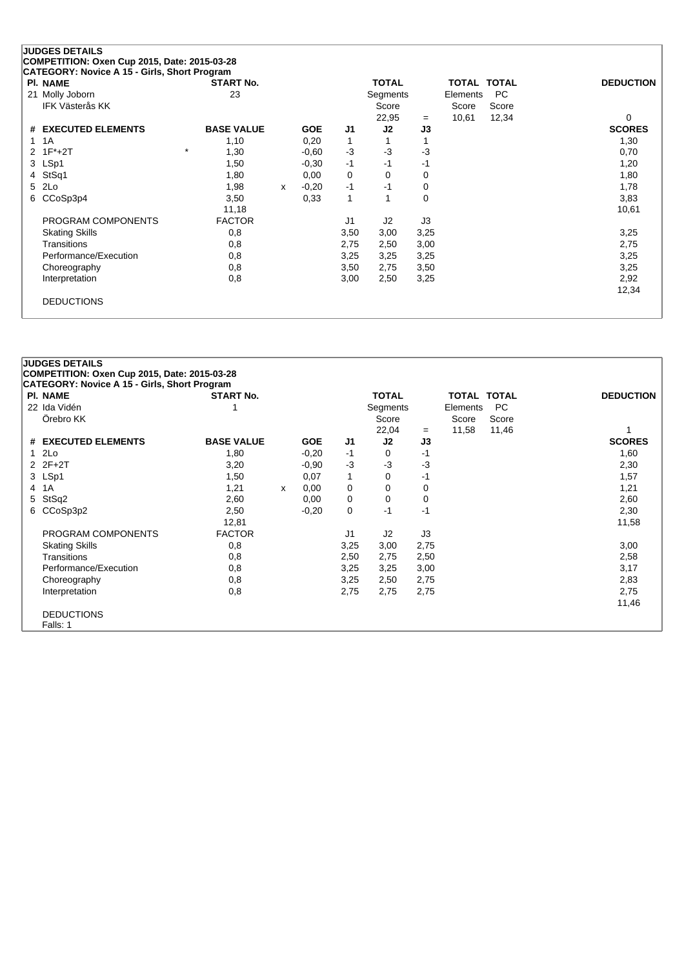| <b>PI. NAME</b>        | <b>START No.</b>  |              |            |                | <b>TOTAL</b> |          | <b>TOTAL TOTAL</b> |           | <b>DEDUCTION</b> |
|------------------------|-------------------|--------------|------------|----------------|--------------|----------|--------------------|-----------|------------------|
| 21 Molly Joborn        | 23                |              |            |                | Segments     |          | Elements           | <b>PC</b> |                  |
| <b>IFK Västerås KK</b> |                   |              |            |                | Score        |          | Score              | Score     |                  |
|                        |                   |              |            |                | 22,95        | $=$      | 10,61              | 12,34     | 0                |
| # EXECUTED ELEMENTS    | <b>BASE VALUE</b> |              | <b>GOE</b> | J1             | J2           | J3       |                    |           | <b>SCORES</b>    |
| 1A<br>1                | 1,10              |              | 0,20       | $\mathbf 1$    |              |          |                    |           | 1,30             |
| $2 \t1F^*+2T$          | $\star$<br>1,30   |              | $-0.60$    | $-3$           | $-3$         | -3       |                    |           | 0,70             |
| 3 LSp1                 | 1,50              |              | $-0,30$    | $-1$           | $-1$         | -1       |                    |           | 1,20             |
| StSq1<br>4             | 1,80              |              | 0,00       | 0              | $\Omega$     | 0        |                    |           | 1,80             |
| 2Lo<br>5               | 1,98              | $\mathsf{x}$ | $-0,20$    | $-1$           | $-1$         | 0        |                    |           | 1,78             |
| CCoSp3p4<br>6          | 3,50              |              | 0,33       | 1              |              | $\Omega$ |                    |           | 3,83             |
|                        | 11,18             |              |            |                |              |          |                    |           | 10,61            |
| PROGRAM COMPONENTS     | <b>FACTOR</b>     |              |            | J <sub>1</sub> | J2           | J3       |                    |           |                  |
| <b>Skating Skills</b>  | 0,8               |              |            | 3,50           | 3,00         | 3,25     |                    |           | 3,25             |
| Transitions            | 0,8               |              |            | 2,75           | 2,50         | 3,00     |                    |           | 2,75             |
| Performance/Execution  | 0,8               |              |            | 3,25           | 3,25         | 3,25     |                    |           | 3,25             |
| Choreography           | 0,8               |              |            | 3,50           | 2,75         | 3,50     |                    |           | 3,25             |
| Interpretation         | 0,8               |              |            | 3,00           | 2,50         | 3,25     |                    |           | 2,92             |
|                        |                   |              |            |                |              |          |                    |           | 12,34            |

|                | <b>JUDGES DETAILS</b>                               |                   |              |            |                |              |      |                    |           |                  |
|----------------|-----------------------------------------------------|-------------------|--------------|------------|----------------|--------------|------|--------------------|-----------|------------------|
|                | COMPETITION: Oxen Cup 2015, Date: 2015-03-28        |                   |              |            |                |              |      |                    |           |                  |
|                | <b>CATEGORY: Novice A 15 - Girls, Short Program</b> |                   |              |            |                |              |      |                    |           |                  |
|                | <b>PI. NAME</b>                                     | <b>START No.</b>  |              |            |                | <b>TOTAL</b> |      | <b>TOTAL TOTAL</b> |           | <b>DEDUCTION</b> |
|                | 22 Ida Vidén                                        |                   |              |            |                | Segments     |      | Elements           | <b>PC</b> |                  |
|                | Örebro KK                                           |                   |              |            |                | Score        |      | Score              | Score     |                  |
|                |                                                     |                   |              |            |                | 22,04        | $=$  | 11,58              | 11,46     |                  |
|                | # EXECUTED ELEMENTS                                 | <b>BASE VALUE</b> |              | <b>GOE</b> | J <sub>1</sub> | J2           | J3   |                    |           | <b>SCORES</b>    |
|                | 12Lo                                                | 1,80              |              | $-0,20$    | $-1$           | $\mathbf 0$  | -1   |                    |           | 1,60             |
|                | $2Z + 2T$                                           | 3,20              |              | $-0.90$    | $-3$           | $-3$         | -3   |                    |           | 2,30             |
|                | 3 LSp1                                              | 1,50              |              | 0,07       | $\mathbf{1}$   | 0            | -1   |                    |           | 1,57             |
| $\overline{4}$ | 1A                                                  | 1,21              | $\mathsf{x}$ | 0,00       | 0              | 0            | 0    |                    |           | 1,21             |
| 5.             | StSq2                                               | 2,60              |              | 0,00       | 0              | 0            | 0    |                    |           | 2,60             |
|                | 6 CCoSp3p2                                          | 2,50              |              | $-0,20$    | 0              | -1           | $-1$ |                    |           | 2,30             |
|                |                                                     | 12,81             |              |            |                |              |      |                    |           | 11,58            |
|                | PROGRAM COMPONENTS                                  | <b>FACTOR</b>     |              |            | J1             | J2           | J3   |                    |           |                  |
|                | <b>Skating Skills</b>                               | 0,8               |              |            | 3,25           | 3,00         | 2,75 |                    |           | 3,00             |
|                | Transitions                                         | 0,8               |              |            | 2,50           | 2,75         | 2,50 |                    |           | 2,58             |
|                | Performance/Execution                               | 0,8               |              |            | 3,25           | 3,25         | 3,00 |                    |           | 3,17             |
|                | Choreography                                        | 0,8               |              |            | 3,25           | 2,50         | 2,75 |                    |           | 2,83             |
|                | Interpretation                                      | 0,8               |              |            | 2,75           | 2,75         | 2,75 |                    |           | 2,75             |
|                |                                                     |                   |              |            |                |              |      |                    |           | 11,46            |
|                | <b>DEDUCTIONS</b>                                   |                   |              |            |                |              |      |                    |           |                  |
|                | Falls: 1                                            |                   |              |            |                |              |      |                    |           |                  |